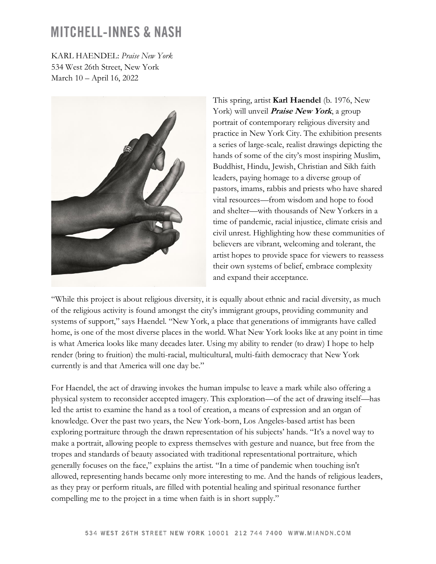KARL HAENDEL: *Praise New York*  534 West 26th Street, New York March 10 – April 16, 2022



This spring, artist **Karl Haendel** (b. 1976, New York) will unveil **Praise New York**, a group portrait of contemporary religious diversity and practice in New York City. The exhibition presents a series of large-scale, realist drawings depicting the hands of some of the city's most inspiring Muslim, Buddhist, Hindu, Jewish, Christian and Sikh faith leaders, paying homage to a diverse group of pastors, imams, rabbis and priests who have shared vital resources—from wisdom and hope to food and shelter—with thousands of New Yorkers in a time of pandemic, racial injustice, climate crisis and civil unrest. Highlighting how these communities of believers are vibrant, welcoming and tolerant, the artist hopes to provide space for viewers to reassess their own systems of belief, embrace complexity and expand their acceptance.

"While this project is about religious diversity, it is equally about ethnic and racial diversity, as much of the religious activity is found amongst the city's immigrant groups, providing community and systems of support," says Haendel. "New York, a place that generations of immigrants have called home, is one of the most diverse places in the world. What New York looks like at any point in time is what America looks like many decades later. Using my ability to render (to draw) I hope to help render (bring to fruition) the multi-racial, multicultural, multi-faith democracy that New York currently is and that America will one day be."

For Haendel, the act of drawing invokes the human impulse to leave a mark while also offering a physical system to reconsider accepted imagery. This exploration—of the act of drawing itself—has led the artist to examine the hand as a tool of creation, a means of expression and an organ of knowledge. Over the past two years, the New York-born, Los Angeles-based artist has been exploring portraiture through the drawn representation of his subjects' hands. "It's a novel way to make a portrait, allowing people to express themselves with gesture and nuance, but free from the tropes and standards of beauty associated with traditional representational portraiture, which generally focuses on the face," explains the artist. "In a time of pandemic when touching isn't allowed, representing hands became only more interesting to me. And the hands of religious leaders, as they pray or perform rituals, are filled with potential healing and spiritual resonance further compelling me to the project in a time when faith is in short supply."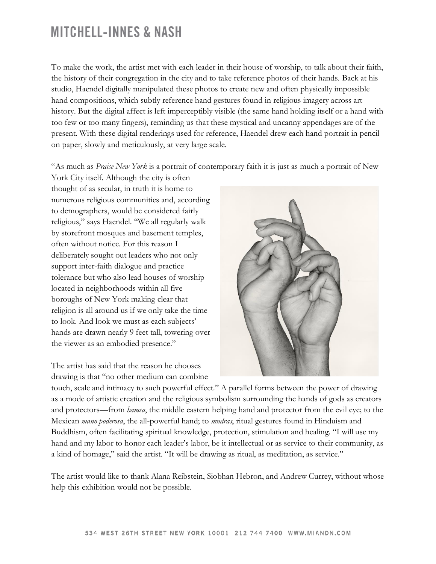To make the work, the artist met with each leader in their house of worship, to talk about their faith, the history of their congregation in the city and to take reference photos of their hands. Back at his studio, Haendel digitally manipulated these photos to create new and often physically impossible hand compositions, which subtly reference hand gestures found in religious imagery across art history. But the digital affect is left imperceptibly visible (the same hand holding itself or a hand with too few or too many fingers), reminding us that these mystical and uncanny appendages are of the present. With these digital renderings used for reference, Haendel drew each hand portrait in pencil on paper, slowly and meticulously, at very large scale.

"As much as *Praise New York* is a portrait of contemporary faith it is just as much a portrait of New

York City itself. Although the city is often thought of as secular, in truth it is home to numerous religious communities and, according to demographers, would be considered fairly religious," says Haendel. "We all regularly walk by storefront mosques and basement temples, often without notice. For this reason I deliberately sought out leaders who not only support inter-faith dialogue and practice tolerance but who also lead houses of worship located in neighborhoods within all five boroughs of New York making clear that religion is all around us if we only take the time to look. And look we must as each subjects' hands are drawn nearly 9 feet tall, towering over the viewer as an embodied presence."

The artist has said that the reason he chooses drawing is that "no other medium can combine



touch, scale and intimacy to such powerful effect." A parallel forms between the power of drawing as a mode of artistic creation and the religious symbolism surrounding the hands of gods as creators and protectors—from *hamsa*, the middle eastern helping hand and protector from the evil eye; to the Mexican *mano poderosa*, the all-powerful hand; to *mudras*, ritual gestures found in Hinduism and Buddhism, often facilitating spiritual knowledge, protection, stimulation and healing. "I will use my hand and my labor to honor each leader's labor, be it intellectual or as service to their community, as a kind of homage," said the artist. "It will be drawing as ritual, as meditation, as service."

The artist would like to thank Alana Reibstein, Siobhan Hebron, and Andrew Currey, without whose help this exhibition would not be possible.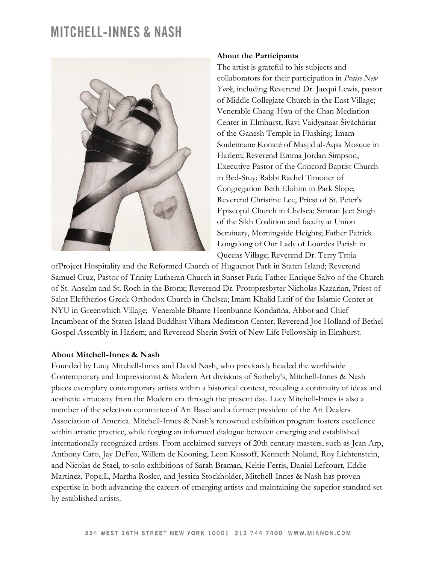

#### **About the Participants**

The artist is grateful to his subjects and collaborators for their participation in *Praise New York*, including Reverend Dr. Jacqui Lewis, pastor of Middle Collegiate Church in the East Village; Venerable Chang-Hwa of the Chan Mediation Center in Elmhurst; Ravi Vaidyanaat Šivãchãriar of the Ganesh Temple in Flushing; Imam Souleimane Konaté of Masjid al-Aqsa Mosque in Harlem; Reverend Emma Jordan Simpson, Executive Pastor of the Concord Baptist Church in Bed-Stuy; Rabbi Rachel Timoner of Congregation Beth Elohim in Park Slope; Reverend Christine Lee, Priest of St. Peter's Episcopal Church in Chelsea; Simran Jeet Singh of the Sikh Coalition and faculty at Union Seminary, Morningside Heights; Father Patrick Longalong of Our Lady of Lourdes Parish in Queens Village; Reverend Dr. Terry Troia

ofProject Hospitality and the Reformed Church of Huguenot Park in Staten Island; Reverend Samuel Cruz, Pastor of Trinity Lutheran Church in Sunset Park; Father Enrique Salvo of the Church of St. Anselm and St. Roch in the Bronx; Reverend Dr. Protopresbyter Nicholas Kazarian, Priest of Saint Eleftherios Greek Orthodox Church in Chelsea; Imam Khalid Latif of the Islamic Center at NYU in Greenwhich Village; Venerable Bhante Heenbunne Kondañña, Abbot and Chief Incumbent of the Staten Island Buddhist Vihara Meditation Center; Reverend Joe Holland of Bethel Gospel Assembly in Harlem; and Reverend Sherin Swift of New Life Fellowship in Elmhurst.

#### **About Mitchell-Innes & Nash**

Founded by Lucy Mitchell-Innes and David Nash, who previously headed the worldwide Contemporary and Impressionist & Modern Art divisions of Sotheby's, Mitchell-Innes & Nash places exemplary contemporary artists within a historical context, revealing a continuity of ideas and aesthetic virtuosity from the Modern era through the present day. Lucy Mitchell-Innes is also a member of the selection committee of Art Basel and a former president of the Art Dealers Association of America. Mitchell-Innes & Nash's renowned exhibition program fosters excellence within artistic practice, while forging an informed dialogue between emerging and established internationally recognized artists. From acclaimed surveys of 20th century masters, such as Jean Arp, Anthony Caro, Jay DeFeo, Willem de Kooning, Leon Kossoff, Kenneth Noland, Roy Lichtenstein, and Nicolas de Stael, to solo exhibitions of Sarah Braman, Keltie Ferris, Daniel Lefcourt, Eddie Martinez, Pope.L, Martha Rosler, and Jessica Stockholder, Mitchell-Innes & Nash has proven expertise in both advancing the careers of emerging artists and maintaining the superior standard set by established artists.